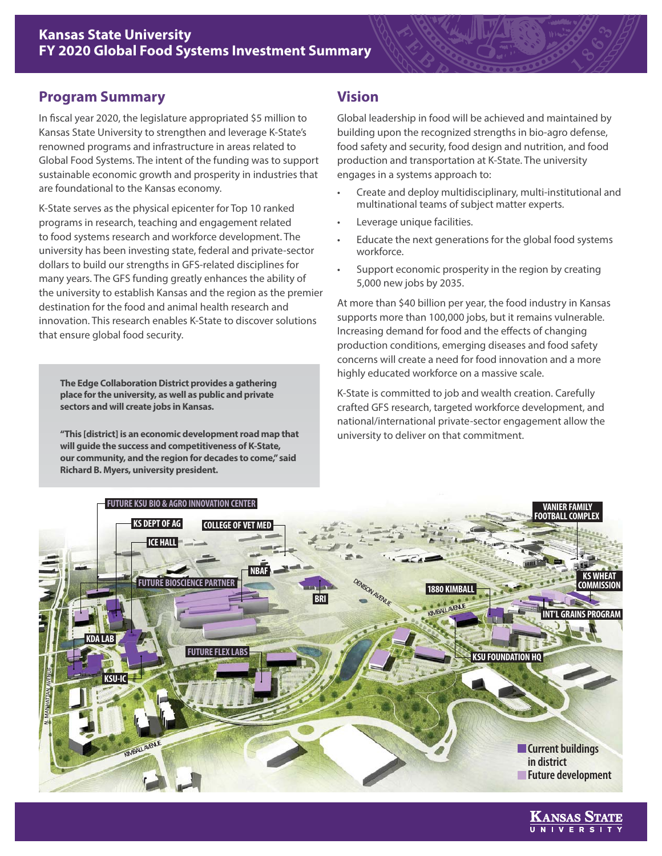## **Program Summary**

In fiscal year 2020, the legislature appropriated \$5 million to Kansas State University to strengthen and leverage K-State's renowned programs and infrastructure in areas related to Global Food Systems. The intent of the funding was to support sustainable economic growth and prosperity in industries that are foundational to the Kansas economy.

K-State serves as the physical epicenter for Top 10 ranked programs in research, teaching and engagement related to food systems research and workforce development. The university has been investing state, federal and private-sector dollars to build our strengths in GFS-related disciplines for many years. The GFS funding greatly enhances the ability of the university to establish Kansas and the region as the premier destination for the food and animal health research and innovation. This research enables K-State to discover solutions that ensure global food security.

**The Edge Collaboration District provides a gathering place for the university, as well as public and private sectors and will create jobs in Kansas.** 

**"This [district] is an economic development road map that will guide the success and competitiveness of K-State, our community, and the region for decades to come," said Richard B. Myers, university president.** 

# **Vision**

Global leadership in food will be achieved and maintained by building upon the recognized strengths in bio-agro defense, food safety and security, food design and nutrition, and food production and transportation at K-State. The university engages in a systems approach to:

- Create and deploy multidisciplinary, multi-institutional and multinational teams of subject matter experts.
- Leverage unique facilities.
- Educate the next generations for the global food systems workforce.
- Support economic prosperity in the region by creating 5,000 new jobs by 2035.

At more than \$40 billion per year, the food industry in Kansas supports more than 100,000 jobs, but it remains vulnerable. Increasing demand for food and the effects of changing production conditions, emerging diseases and food safety concerns will create a need for food innovation and a more highly educated workforce on a massive scale.

K-State is committed to job and wealth creation. Carefully crafted GFS research, targeted workforce development, and national/international private-sector engagement allow the university to deliver on that commitment.



Kansas State UNIVERSI